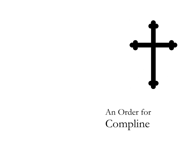

# An Order for Compline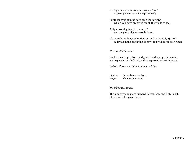Lord, you now have set your servant free \* to go in peace as you have promised;

For these eyes of mine have seen the Savior, \* whom you have prepared for all the world to see:

A Light to enlighten the nations, \* and the glory of your people Israel.

Glory to the Father, and to the Son, and to the Holy Spirit: \* as it was in the beginning, is now, and will be for ever. Amen.

*All repeat the Antiphon*

Guide us waking, O Lord, and guard us sleeping; that awake we may watch with Christ, and asleep we may rest in peace.

*In Easter Season, add Alleluia, alleluia, alleluia.*

*Officiant* Let us bless the Lord. *People* Thanks be to God.

*The Officiant concludes*

The almighty and merciful Lord, Father, Son, and Holy Spirit, bless us and keep us. *Amen.*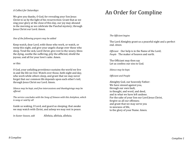### *A Collect for Saturdays*

We give you thanks, O God, for revealing your Son Jesus Christ to us by the light of his resurrection: Grant that as we sing your glory at the close of this day, our joy may abound in the morning as we celebrate the Paschal mystery; through Jesus Christ our Lord. Amen.

#### *One of the following prayers may be added*

Keep watch, dear Lord, with those who work, or watch, or weep this night, and give your angels charge over those who sleep. Tend the sick, Lord Christ; give rest to the weary, bless the dying, soothe the suffering, pity the afflicted, shield the joyous; and all for your love's sake. Amen.

#### or this

O God, your unfailing providence sustains the world we live in and the life we live: Watch over those, both night and day, who work while others sleep, and grant that we may never forget that our common life depends upon each other's toil; through Jesus Christ our Lord. Amen.

*Silence may be kept, and free intercessions and thanksgivings may be offered.*

*The service concludes with the Song of Simeon with this Antiphon, which is sung or said by all*

Guide us waking, O Lord, and guard us sleeping; that awake we may watch with Christ, and asleep we may rest in peace.

*In Easter Season, add* Alleluia, alleluia, alleluia.

# An Order for Compline

#### *The Officiant begins*

The Lord Almighty grant us a peaceful night and a perfect end. *Amen.*

*Officiant* Our help is in the Name of the Lord; *People* The maker of heaven and earth.

The Officiant may then say Let us confess our sins to God.

*Silence may be kept.*

*Officiant and People*

Almighty God, our heavenly Father: We have sinned against you, through our own fault, in thought, and word, and deed, and in what we have left undone. For the sake of your Son our Lord Jesus Christ, forgive us all our offenses; and grant that we may serve you in newness of life, to the glory of your Name. Amen.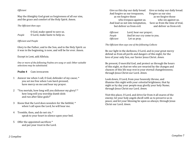#### *Officiant*

May the Almighty God grant us forgiveness of all our sins, and the grace and comfort of the Holy Spirit. Amen.

#### *The Officiant then says*

|        | O God, make speed to save us.  |
|--------|--------------------------------|
| People | O Lord, make haste to help us. |

#### *Officiant and People*

Glory to the Father, and to the Son, and to the Holy Spirit: as it was in the beginning, is now, and will be for ever. Amen.

#### Except in Lent, add Alleluia.

*One or more of the following Psalms are sung or said. Other suitable selections may be substituted.*

#### **Psalm 4** Cum invocarem

- 1 Answer me when I call, O God, defender of my cause; \* you set me free when I am hard-pressed; have mercy on me and hear my prayer.
- 2 "You mortals, how long will you dishonor my glory? \* how long will you worship dumb idols and run after false gods?"
- 3 Know that the Lord does wonders for the faithful; \* when I call upon the Lord, he will hear me.
- 4 Tremble, then, and do not sin; \* speak to your heart in silence upon your bed.
- 5 Offer the appointed sacrifices \* and put your trust in the Lord.

Give us this day our daily bread. Give us today our daily bread. And forgive us our trespasses, Forgive us our sins as we forgive those as we forgive those who trespass against us. who sin against us. And lead us not into temptation, Save us from the time of trial, but deliver us from evil. and deliver us from evil.

| Officiant | Lord, hear our prayer;       |
|-----------|------------------------------|
| People    | And let our cry come to you. |
| Officiant | Let us pray.                 |

*The Officiant then says one of the following Collects*

Be our light in the darkness, O Lord, and in your great mercy defend us from all perils and dangers of this night; for the love of your only Son, our Savior Jesus Christ. *Amen.*

Be present, O merciful God, and protect us through the hours of this night, so that we who are wearied by the changes and chances of this life may rest in your eternal changelessness; through Jesus Christ our Lord. *Amen.*

Look down, O Lord, from your heavenly throne, and illumine this night with your celestial brightness; that by night as by day your people may glorify your holy Name; through Jesus Christ our Lord. *Amen.*

Visit this place, O Lord, and drive far from it all snares of the enemy; let your holy angels dwell with us to preserve us in peace; and let your blessing be upon us always; through Jesus Christ our Lord. *Amen.*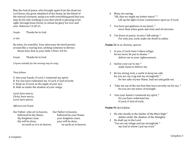May the God of peace, who brought again from the dead our Lord Jesus, the great shepherd of the sheep, by the blood of the eternal covenant, equip you with everything good that you may do his will, working in you that which is pleasing in his sight, through Jesus Christ; to whom be glory for ever and ever. Hebrews 13:20-21

*People* Thanks be to God.

*or this*

Be sober, be watchful. Your adversary the devil prowls around like a roaring lion, seeking someone to devour.

Resist him, firm in your faith. I Peter 5:8-9a

*People* Thanks be to God.

*A hymn suitable for the evening may be sung.*

## *Then follows*

V. Into your hands, O Lord, I commend my spirit; R. For you have redeemed me, O Lord, O God of truth. V. Keep us, O Lord, as the apple of your eye; R. Hide us under the shadow of your wings.

Lord, have mercy. *Christ, have mercy.* Lord, have mercy.

# *Officiant and People*

- Our Father, who art in heaven, Our Father in heaven, hallowed be thy Name, hallowed be your Name, thy kingdom come, your kingdom come, thy will be done,  $\frac{1}{2}$  vour will be done,
	- on earth as it is in heaven. on earth as in heaven.
- 6 Many are saying, "Oh, that we might see better times!" \* Lift up the light of your countenance upon us, O Lord.
- 7 You have put gladness in my heart, \* more than when grain and wine and oil increase.
- 8 I lie down in peace; at once I fall asleep; \* For only you, Lord, make me dwell in safety.

# **Psalm 31** *In te, Domine, speravi*

- 1 In you, O Lord, have I taken refuge; let me never be put to shame: \* deliver me in your righteousness.
- 2 Incline your ear to me; \* make haste to deliver me.
- 3 Be my strong rock, a castle to keep me safe, for you are my crag and my stronghold; \* for the sake of your Name, lead me and guide me.
- 4 Take me out of the net that they have secretly set for me, \* for you are my tower of strength.
- 5 Into your hands I commend my spirit, \* for you have redeemed me, O Lord, O God of truth.

# **Psalm 91** Qui habitat

- 1 He who dwells in the shelter of the Most High \* abides under the shadow of the Almighty.
- 2 He shall say to the Lord, "You are my refuge and my stronghold, \* my God in whom I put my trust."